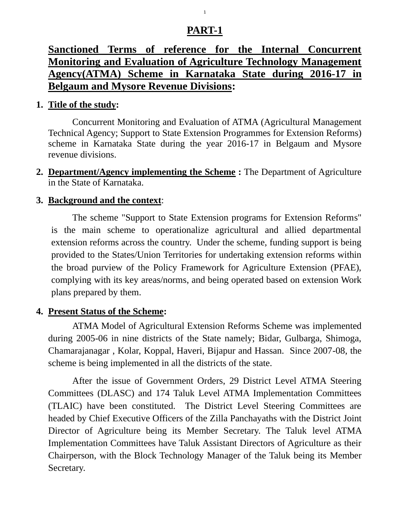# **PART-1**

# **Sanctioned Terms of reference for the Internal Concurrent Monitoring and Evaluation of Agriculture Technology Management Agency(ATMA) Scheme in Karnataka State during 2016-17 in Belgaum and Mysore Revenue Divisions:**

#### **1. Title of the study:**

Concurrent Monitoring and Evaluation of ATMA (Agricultural Management Technical Agency; Support to State Extension Programmes for Extension Reforms) scheme in Karnataka State during the year 2016-17 in Belgaum and Mysore revenue divisions.

**2. Department/Agency implementing the Scheme :** The Department of Agriculture in the State of Karnataka.

#### **3. Background and the context**:

The scheme "Support to State Extension programs for Extension Reforms" is the main scheme to operationalize agricultural and allied departmental extension reforms across the country. Under the scheme, funding support is being provided to the States/Union Territories for undertaking extension reforms within the broad purview of the Policy Framework for Agriculture Extension (PFAE), complying with its key areas/norms, and being operated based on extension Work plans prepared by them.

#### **4. Present Status of the Scheme:**

ATMA Model of Agricultural Extension Reforms Scheme was implemented during 2005-06 in nine districts of the State namely; Bidar, Gulbarga, Shimoga, Chamarajanagar , Kolar, Koppal, Haveri, Bijapur and Hassan. Since 2007-08, the scheme is being implemented in all the districts of the state.

After the issue of Government Orders, 29 District Level ATMA Steering Committees (DLASC) and 174 Taluk Level ATMA Implementation Committees (TLAIC) have been constituted. The District Level Steering Committees are headed by Chief Executive Officers of the Zilla Panchayaths with the District Joint Director of Agriculture being its Member Secretary. The Taluk level ATMA Implementation Committees have Taluk Assistant Directors of Agriculture as their Chairperson, with the Block Technology Manager of the Taluk being its Member Secretary.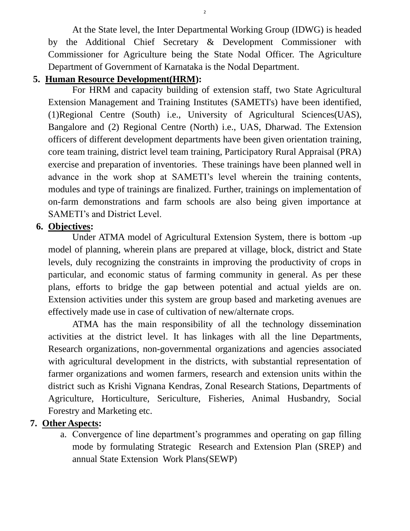At the State level, the Inter Departmental Working Group (IDWG) is headed by the Additional Chief Secretary & Development Commissioner with Commissioner for Agriculture being the State Nodal Officer. The Agriculture Department of Government of Karnataka is the Nodal Department.

2

#### **5. Human Resource Development(HRM):**

For HRM and capacity building of extension staff, two State Agricultural Extension Management and Training Institutes (SAMETI's) have been identified, (1)Regional Centre (South) i.e., University of Agricultural Sciences(UAS), Bangalore and (2) Regional Centre (North) i.e., UAS, Dharwad. The Extension officers of different development departments have been given orientation training, core team training, district level team training, Participatory Rural Appraisal (PRA) exercise and preparation of inventories. These trainings have been planned well in advance in the work shop at SAMETI's level wherein the training contents, modules and type of trainings are finalized. Further, trainings on implementation of on-farm demonstrations and farm schools are also being given importance at SAMETI's and District Level.

#### **6. Objectives:**

Under ATMA model of Agricultural Extension System, there is bottom -up model of planning, wherein plans are prepared at village, block, district and State levels, duly recognizing the constraints in improving the productivity of crops in particular, and economic status of farming community in general. As per these plans, efforts to bridge the gap between potential and actual yields are on. Extension activities under this system are group based and marketing avenues are effectively made use in case of cultivation of new/alternate crops.

ATMA has the main responsibility of all the technology dissemination activities at the district level. It has linkages with all the line Departments, Research organizations, non-governmental organizations and agencies associated with agricultural development in the districts, with substantial representation of farmer organizations and women farmers, research and extension units within the district such as Krishi Vignana Kendras, Zonal Research Stations, Departments of Agriculture, Horticulture, Sericulture, Fisheries, Animal Husbandry, Social Forestry and Marketing etc.

# **7. Other Aspects:**

a. Convergence of line department's programmes and operating on gap filling mode by formulating Strategic Research and Extension Plan (SREP) and annual State Extension Work Plans(SEWP)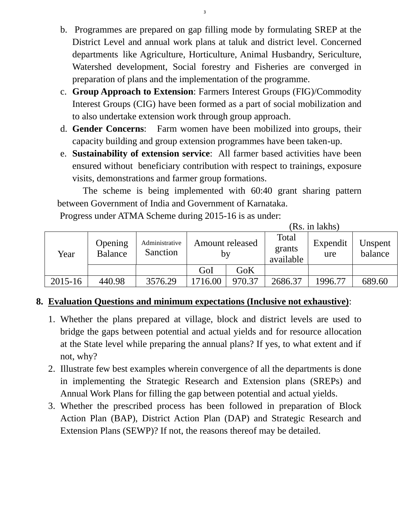- b. Programmes are prepared on gap filling mode by formulating SREP at the District Level and annual work plans at taluk and district level. Concerned departments like Agriculture, Horticulture, Animal Husbandry, Sericulture, Watershed development, Social forestry and Fisheries are converged in preparation of plans and the implementation of the programme.
- c. **Group Approach to Extension**: Farmers Interest Groups (FIG)/Commodity Interest Groups (CIG) have been formed as a part of social mobilization and to also undertake extension work through group approach.
- d. **Gender Concerns**: Farm women have been mobilized into groups, their capacity building and group extension programmes have been taken-up.
- e. **Sustainability of extension service**: All farmer based activities have been ensured without beneficiary contribution with respect to trainings, exposure visits, demonstrations and farmer group formations.

 The scheme is being implemented with 60:40 grant sharing pattern between Government of India and Government of Karnataka.

Progress under ATMA Scheme during 2015-16 is as under:

(Rs. in lakhs)

| Year    | Opening<br><b>Balance</b> | Administrative<br>Sanction | Amount released<br>by |        | Total<br>grants<br>available | Expendit<br>ure | Unspent<br>balance |
|---------|---------------------------|----------------------------|-----------------------|--------|------------------------------|-----------------|--------------------|
|         |                           |                            | GoI                   | GoK    |                              |                 |                    |
| 2015-16 | 440.98                    | 3576.29                    | 1716.00               | 970.37 | 2686.37                      | 1996.77         | 689.60             |

# **8. Evaluation Questions and minimum expectations (Inclusive not exhaustive)**:

- 1. Whether the plans prepared at village, block and district levels are used to bridge the gaps between potential and actual yields and for resource allocation at the State level while preparing the annual plans? If yes, to what extent and if not, why?
- 2. Illustrate few best examples wherein convergence of all the departments is done in implementing the Strategic Research and Extension plans (SREPs) and Annual Work Plans for filling the gap between potential and actual yields.
- 3. Whether the prescribed process has been followed in preparation of Block Action Plan (BAP), District Action Plan (DAP) and Strategic Research and Extension Plans (SEWP)? If not, the reasons thereof may be detailed.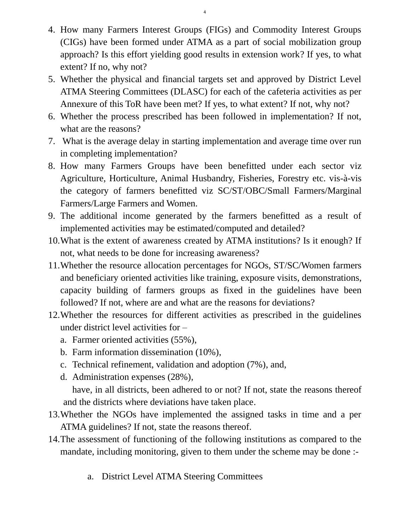- 4. How many Farmers Interest Groups (FIGs) and Commodity Interest Groups (CIGs) have been formed under ATMA as a part of social mobilization group approach? Is this effort yielding good results in extension work? If yes, to what extent? If no, why not?
- 5. Whether the physical and financial targets set and approved by District Level ATMA Steering Committees (DLASC) for each of the cafeteria activities as per Annexure of this ToR have been met? If yes, to what extent? If not, why not?
- 6. Whether the process prescribed has been followed in implementation? If not, what are the reasons?
- 7. What is the average delay in starting implementation and average time over run in completing implementation?
- 8. How many Farmers Groups have been benefitted under each sector viz Agriculture, Horticulture, Animal Husbandry, Fisheries, Forestry etc. vis-à-vis the category of farmers benefitted viz SC/ST/OBC/Small Farmers/Marginal Farmers/Large Farmers and Women.
- 9. The additional income generated by the farmers benefitted as a result of implemented activities may be estimated/computed and detailed?
- 10.What is the extent of awareness created by ATMA institutions? Is it enough? If not, what needs to be done for increasing awareness?
- 11.Whether the resource allocation percentages for NGOs, ST/SC/Women farmers and beneficiary oriented activities like training, exposure visits, demonstrations, capacity building of farmers groups as fixed in the guidelines have been followed? If not, where are and what are the reasons for deviations?
- 12.Whether the resources for different activities as prescribed in the guidelines under district level activities for –
	- a. Farmer oriented activities (55%),
	- b. Farm information dissemination (10%),
	- c. Technical refinement, validation and adoption (7%), and,
	- d. Administration expenses (28%), have, in all districts, been adhered to or not? If not, state the reasons thereof and the districts where deviations have taken place.
- 13.Whether the NGOs have implemented the assigned tasks in time and a per ATMA guidelines? If not, state the reasons thereof.
- 14.The assessment of functioning of the following institutions as compared to the mandate, including monitoring, given to them under the scheme may be done :
	- a. District Level ATMA Steering Committees

4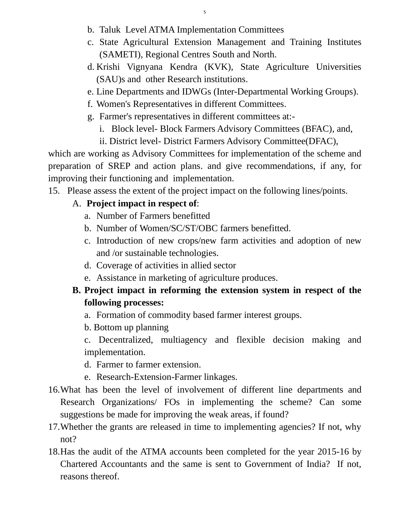- b. Taluk Level ATMA Implementation Committees
- c. State Agricultural Extension Management and Training Institutes (SAMETI), Regional Centres South and North.
- d. Krishi Vignyana Kendra (KVK), State Agriculture Universities (SAU)s and other Research institutions.
- e. Line Departments and IDWGs (Inter-Departmental Working Groups).
- f. Women's Representatives in different Committees.
- g. Farmer's representatives in different committees at:
	- i. Block level- Block Farmers Advisory Committees (BFAC), and,
	- ii. District level- District Farmers Advisory Committee(DFAC),

which are working as Advisory Committees for implementation of the scheme and preparation of SREP and action plans. and give recommendations, if any, for improving their functioning and implementation.

15.Please assess the extent of the project impact on the following lines/points.

# A. **Project impact in respect of**:

- a. Number of Farmers benefitted
- b. Number of Women/SC/ST/OBC farmers benefitted.
- c. Introduction of new crops/new farm activities and adoption of new and /or sustainable technologies.
- d. Coverage of activities in allied sector
- e. Assistance in marketing of agriculture produces.

# **B. Project impact in reforming the extension system in respect of the following processes:**

- a. Formation of commodity based farmer interest groups.
- b. Bottom up planning
- c. Decentralized, multiagency and flexible decision making and implementation.
- d. Farmer to farmer extension.
- e. Research-Extension-Farmer linkages.
- 16.What has been the level of involvement of different line departments and Research Organizations/ FOs in implementing the scheme? Can some suggestions be made for improving the weak areas, if found?
- 17.Whether the grants are released in time to implementing agencies? If not, why not?
- 18.Has the audit of the ATMA accounts been completed for the year 2015-16 by Chartered Accountants and the same is sent to Government of India? If not, reasons thereof.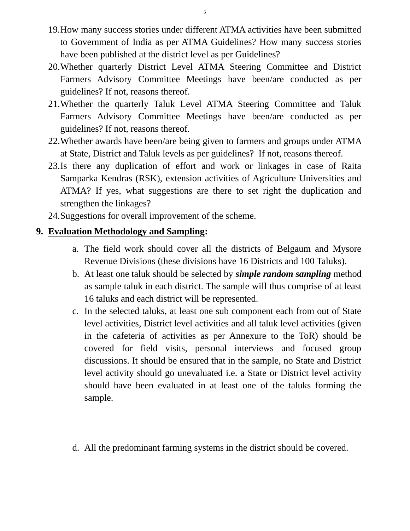- 19.How many success stories under different ATMA activities have been submitted to Government of India as per ATMA Guidelines? How many success stories have been published at the district level as per Guidelines?
- 20.Whether quarterly District Level ATMA Steering Committee and District Farmers Advisory Committee Meetings have been/are conducted as per guidelines? If not, reasons thereof.
- 21.Whether the quarterly Taluk Level ATMA Steering Committee and Taluk Farmers Advisory Committee Meetings have been/are conducted as per guidelines? If not, reasons thereof.
- 22.Whether awards have been/are being given to farmers and groups under ATMA at State, District and Taluk levels as per guidelines? If not, reasons thereof.
- 23.Is there any duplication of effort and work or linkages in case of Raita Samparka Kendras (RSK), extension activities of Agriculture Universities and ATMA? If yes, what suggestions are there to set right the duplication and strengthen the linkages?
- 24.Suggestions for overall improvement of the scheme.

# **9. Evaluation Methodology and Sampling:**

- a. The field work should cover all the districts of Belgaum and Mysore Revenue Divisions (these divisions have 16 Districts and 100 Taluks).
- b. At least one taluk should be selected by *simple random sampling* method as sample taluk in each district. The sample will thus comprise of at least 16 taluks and each district will be represented.
- c. In the selected taluks, at least one sub component each from out of State level activities, District level activities and all taluk level activities (given in the cafeteria of activities as per Annexure to the ToR) should be covered for field visits, personal interviews and focused group discussions. It should be ensured that in the sample, no State and District level activity should go unevaluated i.e. a State or District level activity should have been evaluated in at least one of the taluks forming the sample.
- d. All the predominant farming systems in the district should be covered.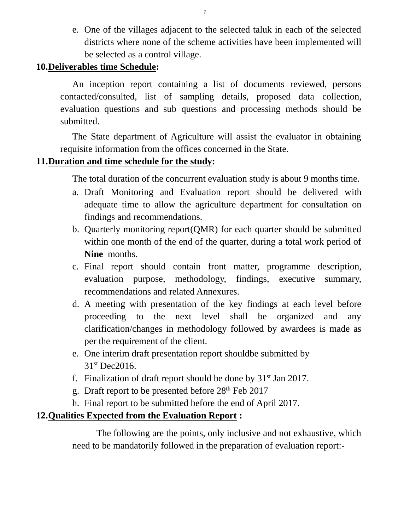e. One of the villages adjacent to the selected taluk in each of the selected districts where none of the scheme activities have been implemented will be selected as a control village.

#### **10.Deliverables time Schedule:**

An inception report containing a list of documents reviewed, persons contacted/consulted, list of sampling details, proposed data collection, evaluation questions and sub questions and processing methods should be submitted.

The State department of Agriculture will assist the evaluator in obtaining requisite information from the offices concerned in the State.

# **11.Duration and time schedule for the study:**

The total duration of the concurrent evaluation study is about 9 months time.

- a. Draft Monitoring and Evaluation report should be delivered with adequate time to allow the agriculture department for consultation on findings and recommendations.
- b. Quarterly monitoring report(QMR) for each quarter should be submitted within one month of the end of the quarter, during a total work period of **Nine** months.
- c. Final report should contain front matter, programme description, evaluation purpose, methodology, findings, executive summary, recommendations and related Annexures.
- d. A meeting with presentation of the key findings at each level before proceeding to the next level shall be organized and any clarification/changes in methodology followed by awardees is made as per the requirement of the client.
- e. One interim draft presentation report shouldbe submitted by 31<sup>st</sup> Dec2016.
- f. Finalization of draft report should be done by  $31<sup>st</sup>$  Jan 2017.
- g. Draft report to be presented before  $28<sup>th</sup>$  Feb 2017
- h. Final report to be submitted before the end of April 2017.

# **12.Qualities Expected from the Evaluation Report :**

The following are the points, only inclusive and not exhaustive, which need to be mandatorily followed in the preparation of evaluation report:-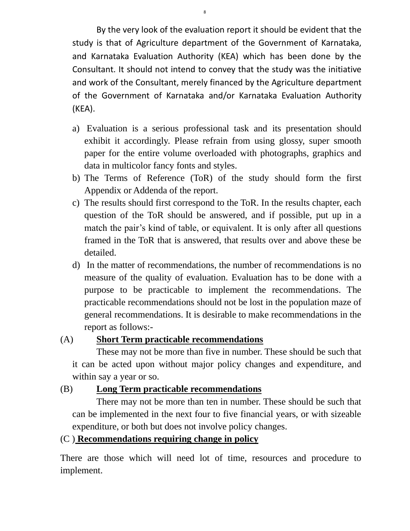By the very look of the evaluation report it should be evident that the study is that of Agriculture department of the Government of Karnataka, and Karnataka Evaluation Authority (KEA) which has been done by the Consultant. It should not intend to convey that the study was the initiative and work of the Consultant, merely financed by the Agriculture department of the Government of Karnataka and/or Karnataka Evaluation Authority (KEA).

- a) Evaluation is a serious professional task and its presentation should exhibit it accordingly. Please refrain from using glossy, super smooth paper for the entire volume overloaded with photographs, graphics and data in multicolor fancy fonts and styles.
- b) The Terms of Reference (ToR) of the study should form the first Appendix or Addenda of the report.
- c) The results should first correspond to the ToR. In the results chapter, each question of the ToR should be answered, and if possible, put up in a match the pair's kind of table, or equivalent. It is only after all questions framed in the ToR that is answered, that results over and above these be detailed.
- d) In the matter of recommendations, the number of recommendations is no measure of the quality of evaluation. Evaluation has to be done with a purpose to be practicable to implement the recommendations. The practicable recommendations should not be lost in the population maze of general recommendations. It is desirable to make recommendations in the report as follows:-

# (A) **Short Term practicable recommendations**

These may not be more than five in number. These should be such that it can be acted upon without major policy changes and expenditure, and within say a year or so.

# (B) **Long Term practicable recommendations**

There may not be more than ten in number. These should be such that can be implemented in the next four to five financial years, or with sizeable expenditure, or both but does not involve policy changes.

# (C ) **Recommendations requiring change in policy**

There are those which will need lot of time, resources and procedure to implement.

8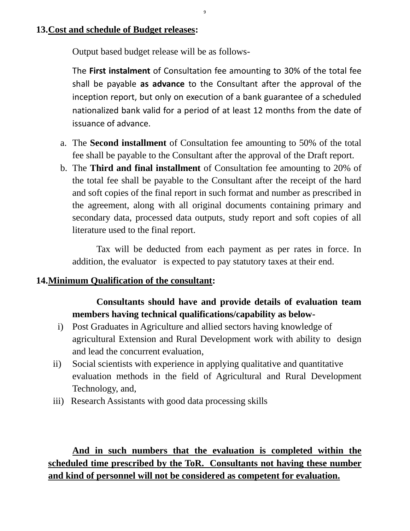#### **13.Cost and schedule of Budget releases:**

Output based budget release will be as follows-

The **First instalment** of Consultation fee amounting to 30% of the total fee shall be payable **as advance** to the Consultant after the approval of the inception report, but only on execution of a bank guarantee of a scheduled nationalized bank valid for a period of at least 12 months from the date of issuance of advance.

9

- a. The **Second installment** of Consultation fee amounting to 50% of the total fee shall be payable to the Consultant after the approval of the Draft report.
- b. The **Third and final installment** of Consultation fee amounting to 20% of the total fee shall be payable to the Consultant after the receipt of the hard and soft copies of the final report in such format and number as prescribed in the agreement, along with all original documents containing primary and secondary data, processed data outputs, study report and soft copies of all literature used to the final report.

Tax will be deducted from each payment as per rates in force. In addition, the evaluator is expected to pay statutory taxes at their end.

#### **14.Minimum Qualification of the consultant:**

# **Consultants should have and provide details of evaluation team members having technical qualifications/capability as below-**

- i) Post Graduates in Agriculture and allied sectors having knowledge of agricultural Extension and Rural Development work with ability to design and lead the concurrent evaluation,
- ii) Social scientists with experience in applying qualitative and quantitative evaluation methods in the field of Agricultural and Rural Development Technology, and,
- iii) Research Assistants with good data processing skills

**And in such numbers that the evaluation is completed within the scheduled time prescribed by the ToR. Consultants not having these number and kind of personnel will not be considered as competent for evaluation.**